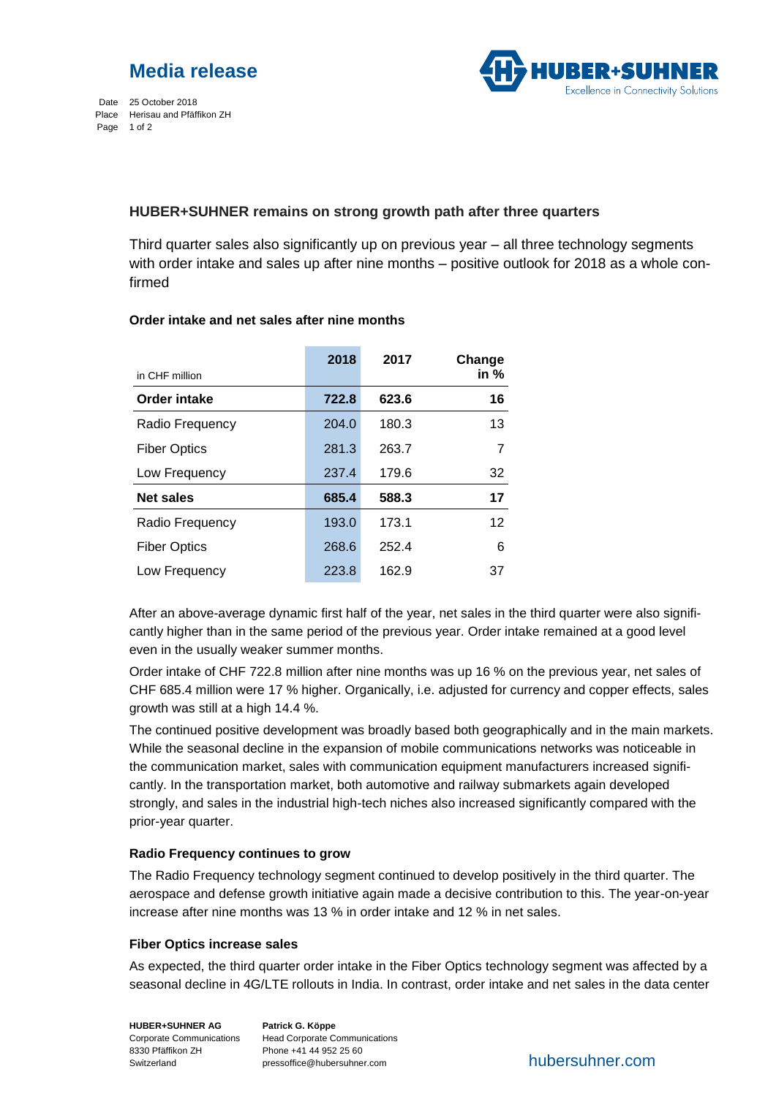

Date 25 October 2018 Place Herisau and Pfäffikon ZH Page 1 of 2



# **HUBER+SUHNER remains on strong growth path after three quarters**

Third quarter sales also significantly up on previous year – all three technology segments with order intake and sales up after nine months – positive outlook for 2018 as a whole confirmed

| in CHF million      | 2018  | 2017  | Change<br>in $%$ |
|---------------------|-------|-------|------------------|
| Order intake        | 722.8 | 623.6 | 16               |
| Radio Frequency     | 204.0 | 180.3 | 13               |
| <b>Fiber Optics</b> | 281.3 | 263.7 | 7                |
| Low Frequency       | 237.4 | 179.6 | 32               |
| <b>Net sales</b>    | 685.4 | 588.3 | 17               |
| Radio Frequency     | 193.0 | 173.1 | 12               |
| <b>Fiber Optics</b> | 268.6 | 252.4 | 6                |
| Low Frequency       | 223.8 | 162.9 | 37               |

### **Order intake and net sales after nine months**

After an above-average dynamic first half of the year, net sales in the third quarter were also significantly higher than in the same period of the previous year. Order intake remained at a good level even in the usually weaker summer months.

Order intake of CHF 722.8 million after nine months was up 16 % on the previous year, net sales of CHF 685.4 million were 17 % higher. Organically, i.e. adjusted for currency and copper effects, sales growth was still at a high 14.4 %.

The continued positive development was broadly based both geographically and in the main markets. While the seasonal decline in the expansion of mobile communications networks was noticeable in the communication market, sales with communication equipment manufacturers increased significantly. In the transportation market, both automotive and railway submarkets again developed strongly, and sales in the industrial high-tech niches also increased significantly compared with the prior-year quarter.

## **Radio Frequency continues to grow**

The Radio Frequency technology segment continued to develop positively in the third quarter. The aerospace and defense growth initiative again made a decisive contribution to this. The year-on-year increase after nine months was 13 % in order intake and 12 % in net sales.

# **Fiber Optics increase sales**

As expected, the third quarter order intake in the Fiber Optics technology segment was affected by a seasonal decline in 4G/LTE rollouts in India. In contrast, order intake and net sales in the data center

**HUBER+SUHNER AG** 8330 Pfäffikon ZH Switzerland

Corporate Communications Head Corporate Communications **Patrick G. Köppe** Phone +41 44 952 25 60 pressoffice@hubersuhner.com